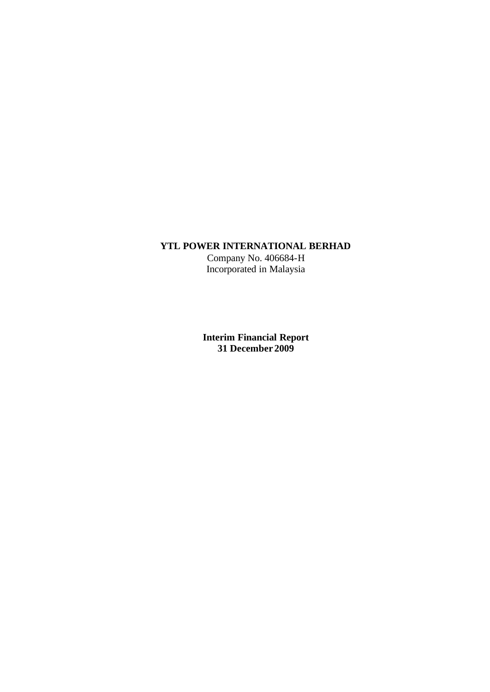## **YTL POWER INTERNATIONAL BERHAD**

Company No. 406684-H Incorporated in Malaysia

**Interim Financial Report 31 December 2009**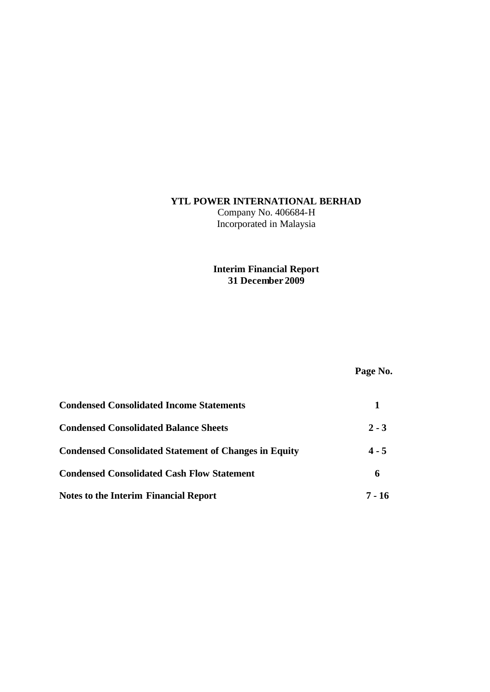# **YTL POWER INTERNATIONAL BERHAD**

Company No. 406684-H Incorporated in Malaysia

# **Interim Financial Report 31 December 2009**

# **Page No.**

| <b>Condensed Consolidated Income Statements</b>              |         |
|--------------------------------------------------------------|---------|
| <b>Condensed Consolidated Balance Sheets</b>                 | $2 - 3$ |
| <b>Condensed Consolidated Statement of Changes in Equity</b> | $4 - 5$ |
| <b>Condensed Consolidated Cash Flow Statement</b>            | 6       |
| <b>Notes to the Interim Financial Report</b>                 | 7 - 16  |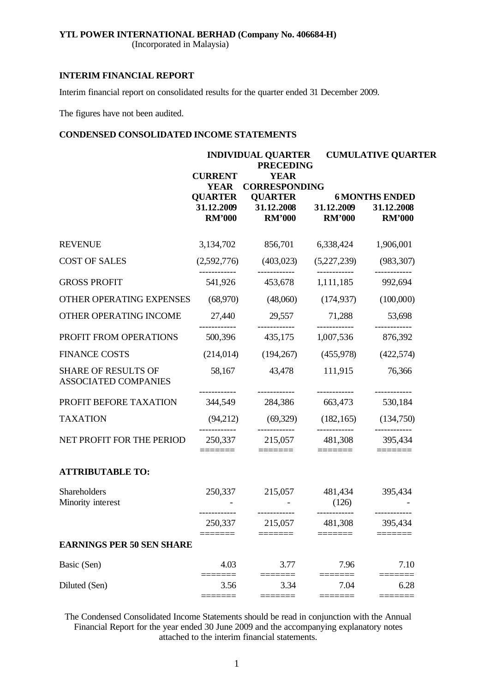(Incorporated in Malaysia)

## **INTERIM FINANCIAL REPORT**

Interim financial report on consolidated results for the quarter ended 31 December 2009.

The figures have not been audited.

## **CONDENSED CONSOLIDATED INCOME STATEMENTS**

|                                                           |                                                 | <b>INDIVIDUAL QUARTER</b><br><b>PRECEDING</b>                                                                                                                                                                                                                                                                                                                                                                                                                                                      | <b>CUMULATIVE QUARTER</b>                                                                                                                                                                                                                                                                                                                                                                                                                                                       |                                                                                                                                                                                                                                                                                                                                                                                                                                                                                            |  |
|-----------------------------------------------------------|-------------------------------------------------|----------------------------------------------------------------------------------------------------------------------------------------------------------------------------------------------------------------------------------------------------------------------------------------------------------------------------------------------------------------------------------------------------------------------------------------------------------------------------------------------------|---------------------------------------------------------------------------------------------------------------------------------------------------------------------------------------------------------------------------------------------------------------------------------------------------------------------------------------------------------------------------------------------------------------------------------------------------------------------------------|--------------------------------------------------------------------------------------------------------------------------------------------------------------------------------------------------------------------------------------------------------------------------------------------------------------------------------------------------------------------------------------------------------------------------------------------------------------------------------------------|--|
|                                                           | <b>CURRENT</b><br><b>YEAR</b><br><b>QUARTER</b> | <b>YEAR</b><br><b>CORRESPONDING</b><br><b>QUARTER</b>                                                                                                                                                                                                                                                                                                                                                                                                                                              |                                                                                                                                                                                                                                                                                                                                                                                                                                                                                 | <b>6 MONTHS ENDED</b>                                                                                                                                                                                                                                                                                                                                                                                                                                                                      |  |
|                                                           | <b>RM'000</b>                                   | 31.12.2009 31.12.2008 31.12.2009<br><b>RM'000</b>                                                                                                                                                                                                                                                                                                                                                                                                                                                  | <b>RM'000</b>                                                                                                                                                                                                                                                                                                                                                                                                                                                                   | 31.12.2008<br><b>RM'000</b>                                                                                                                                                                                                                                                                                                                                                                                                                                                                |  |
| <b>REVENUE</b>                                            | 3,134,702                                       | 856,701                                                                                                                                                                                                                                                                                                                                                                                                                                                                                            |                                                                                                                                                                                                                                                                                                                                                                                                                                                                                 | 6,338,424 1,906,001                                                                                                                                                                                                                                                                                                                                                                                                                                                                        |  |
| <b>COST OF SALES</b>                                      |                                                 | $(2,592,776)$ $(403,023)$                                                                                                                                                                                                                                                                                                                                                                                                                                                                          |                                                                                                                                                                                                                                                                                                                                                                                                                                                                                 | $(5,227,239)$ $(983,307)$                                                                                                                                                                                                                                                                                                                                                                                                                                                                  |  |
| <b>GROSS PROFIT</b>                                       | 541,926                                         | 453,678                                                                                                                                                                                                                                                                                                                                                                                                                                                                                            | ------------<br>1,111,185                                                                                                                                                                                                                                                                                                                                                                                                                                                       | ------------<br>992,694                                                                                                                                                                                                                                                                                                                                                                                                                                                                    |  |
| OTHER OPERATING EXPENSES                                  | (68,970)                                        | (48,060)                                                                                                                                                                                                                                                                                                                                                                                                                                                                                           | (174, 937)                                                                                                                                                                                                                                                                                                                                                                                                                                                                      | (100,000)                                                                                                                                                                                                                                                                                                                                                                                                                                                                                  |  |
| OTHER OPERATING INCOME                                    | 27,440                                          | 29,557                                                                                                                                                                                                                                                                                                                                                                                                                                                                                             | 71,288                                                                                                                                                                                                                                                                                                                                                                                                                                                                          | 53,698                                                                                                                                                                                                                                                                                                                                                                                                                                                                                     |  |
| PROFIT FROM OPERATIONS                                    | 500,396                                         | 435,175                                                                                                                                                                                                                                                                                                                                                                                                                                                                                            | 1,007,536                                                                                                                                                                                                                                                                                                                                                                                                                                                                       | 876,392                                                                                                                                                                                                                                                                                                                                                                                                                                                                                    |  |
| <b>FINANCE COSTS</b>                                      | (214, 014)                                      | (194, 267)                                                                                                                                                                                                                                                                                                                                                                                                                                                                                         | (455,978)                                                                                                                                                                                                                                                                                                                                                                                                                                                                       | (422, 574)                                                                                                                                                                                                                                                                                                                                                                                                                                                                                 |  |
| <b>SHARE OF RESULTS OF</b><br><b>ASSOCIATED COMPANIES</b> | 58,167                                          | 43,478                                                                                                                                                                                                                                                                                                                                                                                                                                                                                             | 111,915                                                                                                                                                                                                                                                                                                                                                                                                                                                                         | 76,366                                                                                                                                                                                                                                                                                                                                                                                                                                                                                     |  |
| PROFIT BEFORE TAXATION                                    | 344,549                                         | 284,386 663,473                                                                                                                                                                                                                                                                                                                                                                                                                                                                                    |                                                                                                                                                                                                                                                                                                                                                                                                                                                                                 | 530,184                                                                                                                                                                                                                                                                                                                                                                                                                                                                                    |  |
| <b>TAXATION</b>                                           | (94,212)                                        |                                                                                                                                                                                                                                                                                                                                                                                                                                                                                                    |                                                                                                                                                                                                                                                                                                                                                                                                                                                                                 | $(69,329)$ $(182,165)$ $(134,750)$                                                                                                                                                                                                                                                                                                                                                                                                                                                         |  |
| NET PROFIT FOR THE PERIOD                                 | 250,337<br>=======                              | ------------<br>215,057 481,308<br>$\begin{tabular}{ll} \multicolumn{3}{l}{{\color{blue}\textbf{1}}}\\[-2.0mm]{\color{blue}\textbf{2}}\\[-2.0mm]{\color{blue}\textbf{2}}\\[-2.0mm]{\color{blue}\textbf{3}}\\[-2.0mm]{\color{blue}\textbf{4}}\\[-2.0mm]{\color{blue}\textbf{4}}\\[-2.0mm]{\color{blue}\textbf{4}}\\[-2.0mm]{\color{blue}\textbf{4}}\\[-2.0mm]{\color{blue}\textbf{4}}\\[-2.0mm]{\color{blue}\textbf{4}}\\[-2.0mm]{\color{blue}\textbf{4}}\\[-2.0mm]{\color{blue}\textbf{4}}\\[-2.0$ | ------------<br>$\begin{tabular}{ll} \multicolumn{3}{l}{{\color{blue}\textbf{1}}}\\[-2.0mm]{\color{blue}\textbf{2}}\\[-2.0mm]{\color{blue}\textbf{2}}\\[-2.0mm]{\color{blue}\textbf{3}}\\[-2.0mm]{\color{blue}\textbf{4}}\\[-2.0mm]{\color{blue}\textbf{4}}\\[-2.0mm]{\color{blue}\textbf{4}}\\[-2.0mm]{\color{blue}\textbf{4}}\\[-2.0mm]{\color{blue}\textbf{4}}\\[-2.0mm]{\color{blue}\textbf{4}}\\[-2.0mm]{\color{blue}\textbf{4}}\\[-2.0mm]{\color{blue}\textbf{4}}\\[-2.0$ | ------------<br>395,434<br>$\begin{tabular}{ll} \multicolumn{3}{l}{{\color{blue}\textbf{1}}}\\[-2.0mm]{\color{blue}\textbf{2}}\\[-2.0mm]{\color{blue}\textbf{2}}\\[-2.0mm]{\color{blue}\textbf{3}}\\[-2.0mm]{\color{blue}\textbf{4}}\\[-2.0mm]{\color{blue}\textbf{4}}\\[-2.0mm]{\color{blue}\textbf{4}}\\[-2.0mm]{\color{blue}\textbf{4}}\\[-2.0mm]{\color{blue}\textbf{4}}\\[-2.0mm]{\color{blue}\textbf{4}}\\[-2.0mm]{\color{blue}\textbf{4}}\\[-2.0mm]{\color{blue}\textbf{4}}\\[-2.0$ |  |
| <b>ATTRIBUTABLE TO:</b>                                   |                                                 |                                                                                                                                                                                                                                                                                                                                                                                                                                                                                                    |                                                                                                                                                                                                                                                                                                                                                                                                                                                                                 |                                                                                                                                                                                                                                                                                                                                                                                                                                                                                            |  |
| Shareholders<br>Minority interest                         |                                                 | 250,337 215,057                                                                                                                                                                                                                                                                                                                                                                                                                                                                                    | (126)                                                                                                                                                                                                                                                                                                                                                                                                                                                                           | 481,434 395,434                                                                                                                                                                                                                                                                                                                                                                                                                                                                            |  |
|                                                           | 250,337                                         | ------------<br>215,057                                                                                                                                                                                                                                                                                                                                                                                                                                                                            | ------------<br>481,308                                                                                                                                                                                                                                                                                                                                                                                                                                                         | 395,434                                                                                                                                                                                                                                                                                                                                                                                                                                                                                    |  |
| <b>EARNINGS PER 50 SEN SHARE</b>                          |                                                 |                                                                                                                                                                                                                                                                                                                                                                                                                                                                                                    |                                                                                                                                                                                                                                                                                                                                                                                                                                                                                 |                                                                                                                                                                                                                                                                                                                                                                                                                                                                                            |  |
| Basic (Sen)                                               | 4.03                                            | 3.77                                                                                                                                                                                                                                                                                                                                                                                                                                                                                               | 7.96                                                                                                                                                                                                                                                                                                                                                                                                                                                                            | 7.10                                                                                                                                                                                                                                                                                                                                                                                                                                                                                       |  |
| Diluted (Sen)                                             | 3.56<br>$== ==$                                 | 3.34<br>====                                                                                                                                                                                                                                                                                                                                                                                                                                                                                       | 7.04                                                                                                                                                                                                                                                                                                                                                                                                                                                                            | 6.28                                                                                                                                                                                                                                                                                                                                                                                                                                                                                       |  |

The Condensed Consolidated Income Statements should be read in conjunction with the Annual Financial Report for the year ended 30 June 2009 and the accompanying explanatory notes attached to the interim financial statements.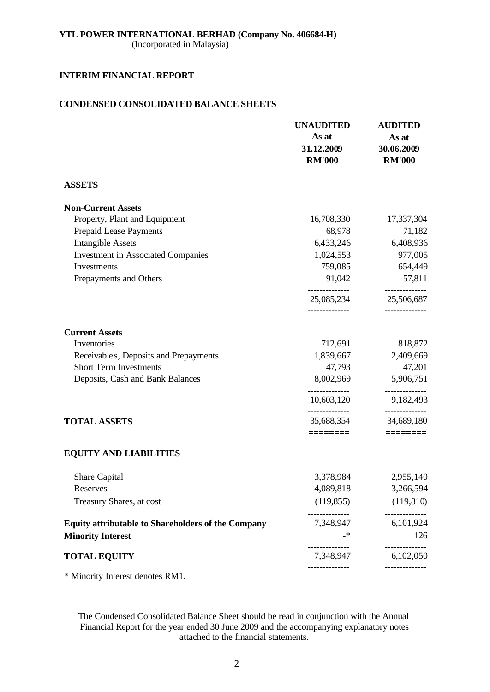## **YTL POWER INTERNATIONAL BERHAD (Company No. 406684-H)** (Incorporated in Malaysia)

## **INTERIM FINANCIAL REPORT**

## **CONDENSED CONSOLIDATED BALANCE SHEETS**

|                                                           | <b>UNAUDITED</b><br>As at<br>31.12.2009<br><b>RM'000</b> | <b>AUDITED</b><br>As at<br>30.06.2009<br><b>RM'000</b> |
|-----------------------------------------------------------|----------------------------------------------------------|--------------------------------------------------------|
| <b>ASSETS</b>                                             |                                                          |                                                        |
| <b>Non-Current Assets</b>                                 |                                                          |                                                        |
| Property, Plant and Equipment                             | 16,708,330                                               | 17,337,304                                             |
| <b>Prepaid Lease Payments</b>                             | 68,978                                                   | 71,182                                                 |
| <b>Intangible Assets</b>                                  | 6,433,246                                                | 6,408,936                                              |
| <b>Investment in Associated Companies</b>                 | 1,024,553                                                | 977,005                                                |
| Investments                                               | 759,085                                                  | 654,449                                                |
| Prepayments and Others                                    | 91,042                                                   | 57,811<br>______________                               |
|                                                           | 25,085,234                                               | 25,506,687                                             |
| <b>Current Assets</b>                                     |                                                          |                                                        |
| Inventories                                               | 712,691                                                  | 818,872                                                |
| Receivable s, Deposits and Prepayments                    | 1,839,667                                                | 2,409,669                                              |
| <b>Short Term Investments</b>                             | 47,793                                                   | 47,201                                                 |
| Deposits, Cash and Bank Balances                          | 8,002,969                                                | 5,906,751                                              |
|                                                           | 10,603,120                                               | 9,182,493                                              |
| <b>TOTAL ASSETS</b>                                       | --------------<br>35,688,354                             | -----------<br>34,689,180                              |
|                                                           |                                                          | $=$ =======                                            |
| <b>EQUITY AND LIABILITIES</b>                             |                                                          |                                                        |
| <b>Share Capital</b>                                      | 3,378,984                                                | 2,955,140                                              |
| Reserves                                                  | 4,089,818                                                | 3,266,594                                              |
| Treasury Shares, at cost                                  | (119, 855)                                               | (119, 810)                                             |
| <b>Equity attributable to Shareholders of the Company</b> | 7,348,947                                                | 6,101,924                                              |
| <b>Minority Interest</b>                                  |                                                          | 126                                                    |
| <b>TOTAL EQUITY</b>                                       | ------------<br>7,348,947                                | ----------<br>6,102,050                                |
|                                                           |                                                          |                                                        |

\* Minority Interest denotes RM1.

The Condensed Consolidated Balance Sheet should be read in conjunction with the Annual Financial Report for the year ended 30 June 2009 and the accompanying explanatory notes attached to the financial statements.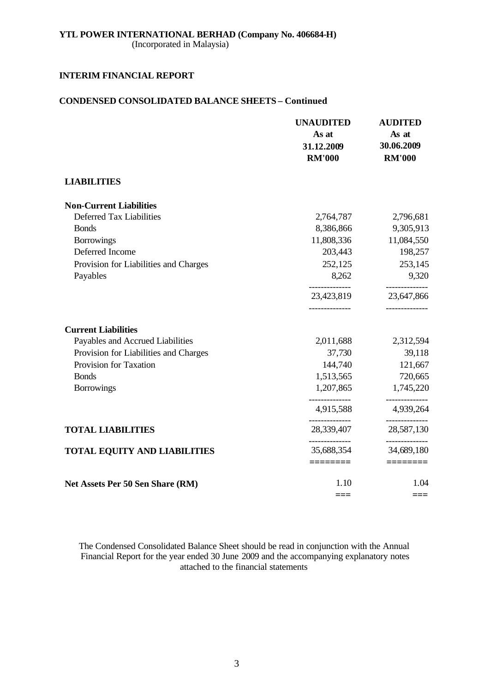(Incorporated in Malaysia)

## **INTERIM FINANCIAL REPORT**

## **CONDENSED CONSOLIDATED BALANCE SHEETS – Continued**

|                                       | <b>UNAUDITED</b><br>As at<br>31.12.2009<br><b>RM'000</b> | <b>AUDITED</b><br>As at<br>30.06.2009<br><b>RM'000</b> |
|---------------------------------------|----------------------------------------------------------|--------------------------------------------------------|
| <b>LIABILITIES</b>                    |                                                          |                                                        |
| <b>Non-Current Liabilities</b>        |                                                          |                                                        |
| Deferred Tax Liabilities              | 2,764,787                                                | 2,796,681                                              |
| <b>Bonds</b>                          | 8,386,866                                                | 9,305,913                                              |
| <b>Borrowings</b>                     | 11,808,336                                               | 11,084,550                                             |
| Deferred Income                       | 203,443                                                  | 198,257                                                |
| Provision for Liabilities and Charges | 252,125                                                  | 253,145                                                |
| Payables                              | 8,262                                                    | 9,320                                                  |
|                                       | 23,423,819                                               | ----------<br>23,647,866                               |
| <b>Current Liabilities</b>            |                                                          |                                                        |
| Payables and Accrued Liabilities      | 2,011,688                                                | 2,312,594                                              |
| Provision for Liabilities and Charges | 37,730                                                   | 39,118                                                 |
| Provision for Taxation                | 144,740                                                  | 121,667                                                |
| <b>Bonds</b>                          | 1,513,565                                                | 720,665                                                |
| <b>Borrowings</b>                     | 1,207,865                                                | 1,745,220                                              |
|                                       | 4,915,588                                                | 4,939,264                                              |
| <b>TOTAL LIABILITIES</b>              | 28,339,407                                               | 28,587,130                                             |
| <b>TOTAL EQUITY AND LIABILITIES</b>   | _______________<br>35,688,354                            | ----------<br>34,689,180                               |
|                                       |                                                          |                                                        |
| Net Assets Per 50 Sen Share (RM)      | 1.10                                                     | 1.04                                                   |
|                                       | ===                                                      | ===                                                    |

The Condensed Consolidated Balance Sheet should be read in conjunction with the Annual Financial Report for the year ended 30 June 2009 and the accompanying explanatory notes attached to the financial statements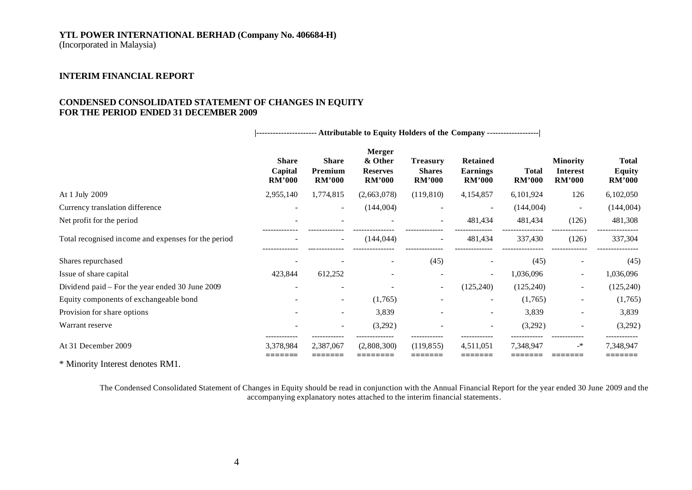(Incorporated in Malaysia)

#### **INTERIM FINANCIAL REPORT**

## **CONDENSED CONSOLIDATED STATEMENT OF CHANGES IN EQUITY FOR THE PERIOD ENDED 31 DECEMBER 2009**

**|---------------------- Attributable to Equity Holders of the Company -------------------| Merger Share Share & Other Treasury Retained Minority Total Capital Premium Reserves Shares Earnings Total Interest Equity RM'000 RM'000 RM'000 RM'000 RM'000 RM'000 RM'000 RM'000** At 1 July 2009 2,955,140 1,774,815 (2,663,078) (119,810) 4,154,857 6,101,924 126 6,102,050 Currency translation difference - - - (144,004) - (144,004) - (144,004) (144,004) (144,004) Net profit for the period and the period and the period of the period of the period of the period of the period the period of the period of the period of the period of the period of the period of the period of the period o ------------- ------------- --------------- -------------- -------------- --------------- ------------- --------------- Total recognised income and expenses for the period  $(144,044)$   $- (144,044)$   $- 481,434$   $- 337,430$   $(126)$   $- 337,304$ ------------- ------------- --------------- -------------- -------------- --------------- ------------- --------------- Shares repurchased  $\qquad \qquad -$  -  $\qquad \qquad -$  (45)  $\qquad \qquad -$  (45)  $\qquad \qquad -$  (45)  $\qquad \qquad -$  (45) Issue of share capital 1.036,096 - 1.036,096 - 1.036,096 - 1.036,096 - 1.036,096 - 1,036,096 - 1,036,096 Dividend paid – For the year ended 30 June 2009 - - - - - - - - - - - - - (125,240) (125,240) - (125,240) - (125,240) Equity components of exchangeable bond  $(1,765)$   $(1,765)$   $(1,765)$   $(1,765)$   $(1,765)$ Provision for share options and the state of the state of the state of the state of the state of the state of the state of the state of the state of the state of the state of the state of the state of the state of the stat Warrant reserve **-** - (3,292) - (3,292) - (3,292) - (3,292) - (3,292) ------------ ------------ -------------- ------------ ------------ ------------ ------------ ------------ At 31 December 2009 3,378,984 2,387,067 (2,808,300) (119,855) 4,511,051 7,348,947 -\* 7,348,947 **======= ======= ======== ======= ======= ======= ======= =======**

\* Minority Interest denotes RM1.

The Condensed Consolidated Statement of Changes in Equity should be read in conjunction with the Annual Financial Report for the year ended 30 June 2009 and the accompanying explanatory notes attached to the interim financial statements.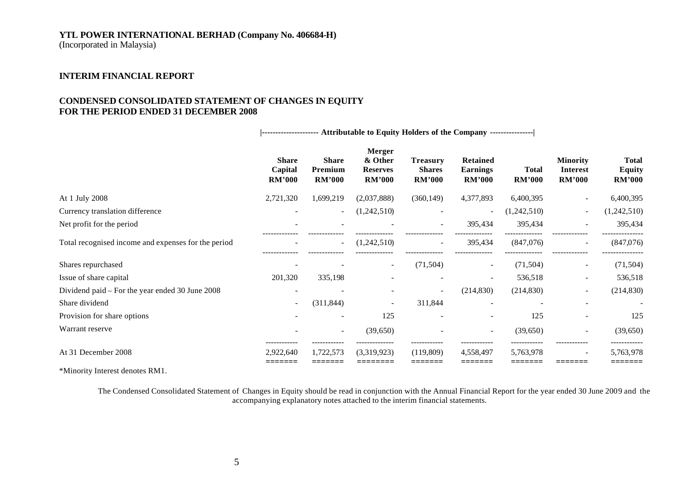(Incorporated in Malaysia)

## **INTERIM FINANCIAL REPORT**

## **CONDENSED CONSOLIDATED STATEMENT OF CHANGES IN EQUITY FOR THE PERIOD ENDED 31 DECEMBER 2008**

**|--------------------- Attributable to Equity Holders of the Company ----------------|**

|                                                     | <b>Share</b><br>Capital<br><b>RM'000</b> | <b>Share</b><br>Premium<br><b>RM'000</b> | <b>Merger</b><br>& Other<br><b>Reserves</b><br><b>RM'000</b> | <b>Treasury</b><br><b>Shares</b><br><b>RM'000</b> | <b>Retained</b><br><b>Earnings</b><br><b>RM'000</b> | <b>Total</b><br><b>RM'000</b> | <b>Minority</b><br>Interest<br><b>RM'000</b> | <b>Total</b><br><b>Equity</b><br><b>RM'000</b> |
|-----------------------------------------------------|------------------------------------------|------------------------------------------|--------------------------------------------------------------|---------------------------------------------------|-----------------------------------------------------|-------------------------------|----------------------------------------------|------------------------------------------------|
| At 1 July 2008                                      | 2,721,320                                | 1,699,219                                | (2,037,888)                                                  | (360, 149)                                        | 4,377,893                                           | 6,400,395                     | $\overline{\phantom{a}}$                     | 6,400,395                                      |
| Currency translation difference                     |                                          |                                          | (1,242,510)                                                  |                                                   | $\overline{\phantom{a}}$                            | (1,242,510)                   | $\overline{\phantom{a}}$                     | (1,242,510)                                    |
| Net profit for the period                           | $\overline{\phantom{a}}$                 |                                          |                                                              | $\sim$                                            | 395,434                                             | 395,434                       | $\sim$                                       | 395,434                                        |
| Total recognised income and expenses for the period |                                          | $\overline{\phantom{a}}$                 | (1,242,510)                                                  | $\overline{\phantom{a}}$                          | 395,434                                             | (847,076)                     | $\overline{\phantom{a}}$                     | (847,076)                                      |
| Shares repurchased                                  | $\overline{\phantom{a}}$                 |                                          | $\overline{\phantom{a}}$                                     | (71, 504)                                         | $\sim$                                              | (71, 504)                     | $\sim$                                       | (71, 504)                                      |
| Issue of share capital                              | 201,320                                  | 335,198                                  |                                                              |                                                   | $\overline{\phantom{a}}$                            | 536,518                       | $\sim$                                       | 536,518                                        |
| Dividend paid – For the year ended 30 June 2008     | $\overline{\phantom{a}}$                 |                                          |                                                              |                                                   | (214, 830)                                          | (214, 830)                    | $\overline{\phantom{a}}$                     | (214, 830)                                     |
| Share dividend                                      | $\overline{\phantom{a}}$                 | (311, 844)                               | $\overline{\phantom{a}}$                                     | 311,844                                           |                                                     |                               |                                              |                                                |
| Provision for share options                         |                                          |                                          | 125                                                          |                                                   | $\overline{\phantom{a}}$                            | 125                           |                                              | 125                                            |
| Warrant reserve                                     |                                          | $\sim$                                   | (39,650)                                                     |                                                   | $\overline{\phantom{a}}$                            | (39,650)                      | $\overline{\phantom{a}}$                     | (39, 650)                                      |
| At 31 December 2008                                 | 2,922,640                                | 1,722,573                                | (3,319,923)                                                  | (119,809)                                         | 4,558,497                                           | 5,763,978                     | $\sim$                                       | 5,763,978<br>--------                          |

\*Minority Interest denotes RM1.

The Condensed Consolidated Statement of Changes in Equity should be read in conjunction with the Annual Financial Report for the year ended 30 June 2009 and the accompanying explanatory notes attached to the interim financial statements.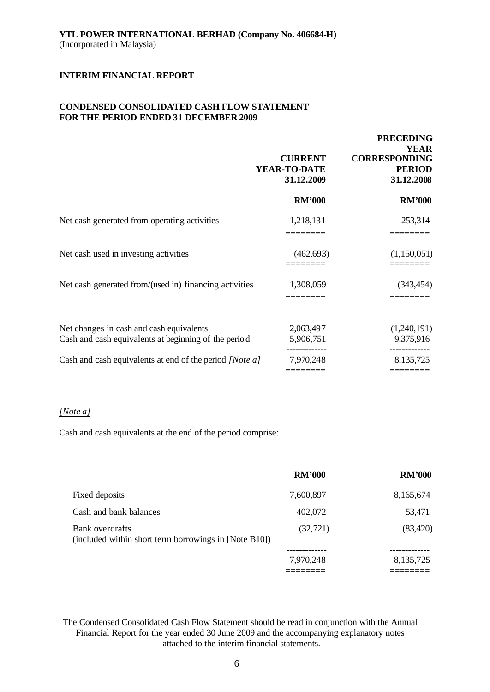## **CONDENSED CONSOLIDATED CASH FLOW STATEMENT FOR THE PERIOD ENDED 31 DECEMBER 2009**

|                                                                                                  | <b>CURRENT</b><br>YEAR-TO-DATE<br>31.12.2009 | <b>PRECEDING</b><br><b>YEAR</b><br><b>CORRESPONDING</b><br><b>PERIOD</b><br>31.12.2008 |
|--------------------------------------------------------------------------------------------------|----------------------------------------------|----------------------------------------------------------------------------------------|
|                                                                                                  | <b>RM'000</b>                                | <b>RM'000</b>                                                                          |
| Net cash generated from operating activities                                                     | 1,218,131                                    | 253,314                                                                                |
| Net cash used in investing activities                                                            | (462, 693)                                   | (1,150,051)                                                                            |
| Net cash generated from/(used in) financing activities                                           | 1,308,059                                    | (343, 454)                                                                             |
| Net changes in cash and cash equivalents<br>Cash and cash equivalents at beginning of the period | 2,063,497<br>5,906,751                       | (1,240,191)<br>9,375,916                                                               |
| Cash and cash equivalents at end of the period [Note a]                                          | 7,970,248                                    | 8,135,725                                                                              |

## *[Note a]*

Cash and cash equivalents at the end of the period comprise:

|                                                                          | <b>RM'000</b> | <b>RM'000</b> |
|--------------------------------------------------------------------------|---------------|---------------|
| Fixed deposits                                                           | 7,600,897     | 8,165,674     |
| Cash and bank balances                                                   | 402,072       | 53,471        |
| Bank overdrafts<br>(included within short term borrowings in [Note B10]) | (32, 721)     | (83, 420)     |
|                                                                          | 7,970,248     | 8,135,725     |
|                                                                          |               |               |

The Condensed Consolidated Cash Flow Statement should be read in conjunction with the Annual Financial Report for the year ended 30 June 2009 and the accompanying explanatory notes attached to the interim financial statements.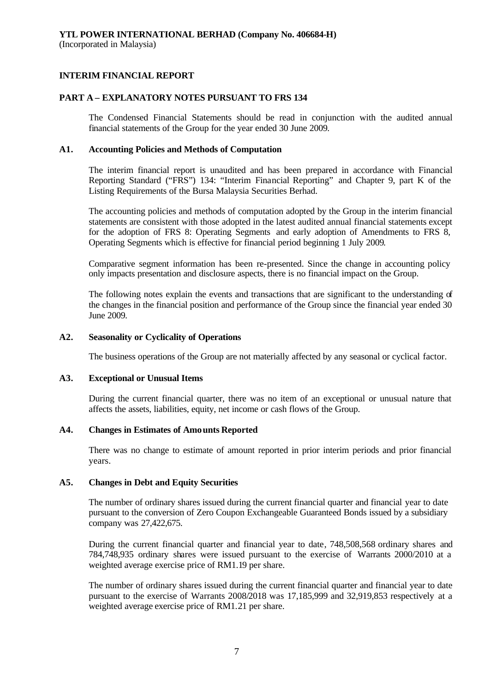## **PART A – EXPLANATORY NOTES PURSUANT TO FRS 134**

The Condensed Financial Statements should be read in conjunction with the audited annual financial statements of the Group for the year ended 30 June 2009.

#### **A1. Accounting Policies and Methods of Computation**

The interim financial report is unaudited and has been prepared in accordance with Financial Reporting Standard ("FRS") 134: "Interim Financial Reporting" and Chapter 9, part K of the Listing Requirements of the Bursa Malaysia Securities Berhad.

The accounting policies and methods of computation adopted by the Group in the interim financial statements are consistent with those adopted in the latest audited annual financial statements except for the adoption of FRS 8: Operating Segments and early adoption of Amendments to FRS 8, Operating Segments which is effective for financial period beginning 1 July 2009.

Comparative segment information has been re-presented. Since the change in accounting policy only impacts presentation and disclosure aspects, there is no financial impact on the Group.

The following notes explain the events and transactions that are significant to the understanding of the changes in the financial position and performance of the Group since the financial year ended 30 June 2009.

## **A2. Seasonality or Cyclicality of Operations**

The business operations of the Group are not materially affected by any seasonal or cyclical factor.

#### **A3. Exceptional or Unusual Items**

During the current financial quarter, there was no item of an exceptional or unusual nature that affects the assets, liabilities, equity, net income or cash flows of the Group.

#### **A4. Changes in Estimates of Amounts Reported**

There was no change to estimate of amount reported in prior interim periods and prior financial years.

#### **A5. Changes in Debt and Equity Securities**

The number of ordinary shares issued during the current financial quarter and financial year to date pursuant to the conversion of Zero Coupon Exchangeable Guaranteed Bonds issued by a subsidiary company was 27,422,675.

During the current financial quarter and financial year to date, 748,508,568 ordinary shares and 784,748,935 ordinary shares were issued pursuant to the exercise of Warrants 2000/2010 at a weighted average exercise price of RM1.19 per share.

The number of ordinary shares issued during the current financial quarter and financial year to date pursuant to the exercise of Warrants 2008/2018 was 17,185,999 and 32,919,853 respectively at a weighted average exercise price of RM1.21 per share.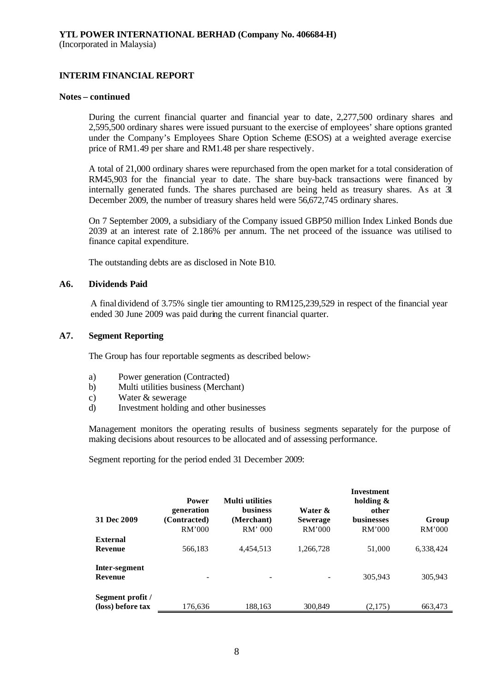#### **Notes – continued**

During the current financial quarter and financial year to date, 2,277,500 ordinary shares and 2,595,500 ordinary shares were issued pursuant to the exercise of employees' share options granted under the Company's Employees Share Option Scheme (ESOS) at a weighted average exercise price of RM1.49 per share and RM1.48 per share respectively.

A total of 21,000 ordinary shares were repurchased from the open market for a total consideration of RM45,903 for the financial year to date. The share buy-back transactions were financed by internally generated funds. The shares purchased are being held as treasury shares. As at 31 December 2009, the number of treasury shares held were 56,672,745 ordinary shares.

On 7 September 2009, a subsidiary of the Company issued GBP50 million Index Linked Bonds due 2039 at an interest rate of 2.186% per annum. The net proceed of the issuance was utilised to finance capital expenditure.

The outstanding debts are as disclosed in Note B10.

#### **A6. Dividends Paid**

A final dividend of 3.75% single tier amounting to RM125,239,529 in respect of the financial year ended 30 June 2009 was paid during the current financial quarter.

#### **A7. Segment Reporting**

The Group has four reportable segments as described below:-

- a) Power generation (Contracted)
- b) Multi utilities business (Merchant)
- c) Water & sewerage
- d) Investment holding and other businesses

Management monitors the operating results of business segments separately for the purpose of making decisions about resources to be allocated and of assessing performance.

Segment reporting for the period ended 31 December 2009:

| 31 Dec 2009                           | Power<br>generation<br>(Contracted)<br>RM'000 | <b>Multi</b> utilities<br><b>business</b><br>(Merchant)<br>$RM'$ 000 | Water &<br><b>Sewerage</b><br>RM'000 | <b>Investment</b><br>holding $\&$<br>other<br><b>businesses</b><br>RM'000 | Group<br>RM'000 |
|---------------------------------------|-----------------------------------------------|----------------------------------------------------------------------|--------------------------------------|---------------------------------------------------------------------------|-----------------|
| <b>External</b>                       |                                               |                                                                      |                                      |                                                                           |                 |
| <b>Revenue</b>                        | 566,183                                       | 4,454,513                                                            | 1,266,728                            | 51,000                                                                    | 6,338,424       |
| Inter-segment<br><b>Revenue</b>       |                                               |                                                                      |                                      | 305,943                                                                   | 305,943         |
| Segment profit /<br>(loss) before tax | 176.636                                       | 188.163                                                              | 300,849                              | (2.175)                                                                   | 663.473         |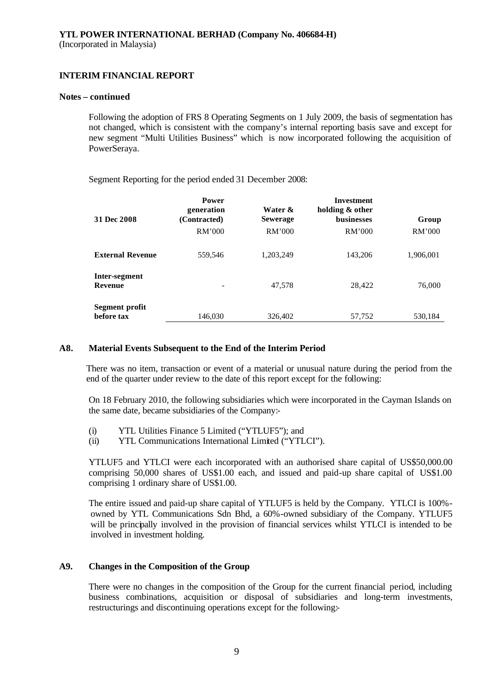#### **Notes – continued**

Following the adoption of FRS 8 Operating Segments on 1 July 2009, the basis of segmentation has not changed, which is consistent with the company's internal reporting basis save and except for new segment "Multi Utilities Business" which is now incorporated following the acquisition of PowerSeraya.

Segment Reporting for the period ended 31 December 2008:

| 31 Dec 2008                  | <b>Power</b><br>generation<br>(Contracted)<br>RM'000 | Water &<br><b>Sewerage</b><br>RM'000 | Investment<br>holding & other<br><b>businesses</b><br>RM'000 | Group<br>RM'000 |
|------------------------------|------------------------------------------------------|--------------------------------------|--------------------------------------------------------------|-----------------|
| <b>External Revenue</b>      | 559,546                                              | 1,203,249                            | 143,206                                                      | 1,906,001       |
| Inter-segment<br>Revenue     |                                                      | 47,578                               | 28,422                                                       | 76,000          |
| Segment profit<br>before tax | 146,030                                              | 326,402                              | 57,752                                                       | 530,184         |

## **A8. Material Events Subsequent to the End of the Interim Period**

There was no item, transaction or event of a material or unusual nature during the period from the end of the quarter under review to the date of this report except for the following:

On 18 February 2010, the following subsidiaries which were incorporated in the Cayman Islands on the same date, became subsidiaries of the Company:-

- (i) YTL Utilities Finance 5 Limited ("YTLUF5"); and
- (ii) YTL Communications International Limited ("YTLCI").

YTLUF5 and YTLCI were each incorporated with an authorised share capital of US\$50,000.00 comprising 50,000 shares of US\$1.00 each, and issued and paid-up share capital of US\$1.00 comprising 1 ordinary share of US\$1.00.

The entire issued and paid-up share capital of YTLUF5 is held by the Company. YTLCI is 100% owned by YTL Communications Sdn Bhd, a 60%-owned subsidiary of the Company. YTLUF5 will be principally involved in the provision of financial services whilst YTLCI is intended to be involved in investment holding.

## **A9. Changes in the Composition of the Group**

There were no changes in the composition of the Group for the current financial period, including business combinations, acquisition or disposal of subsidiaries and long-term investments, restructurings and discontinuing operations except for the following:-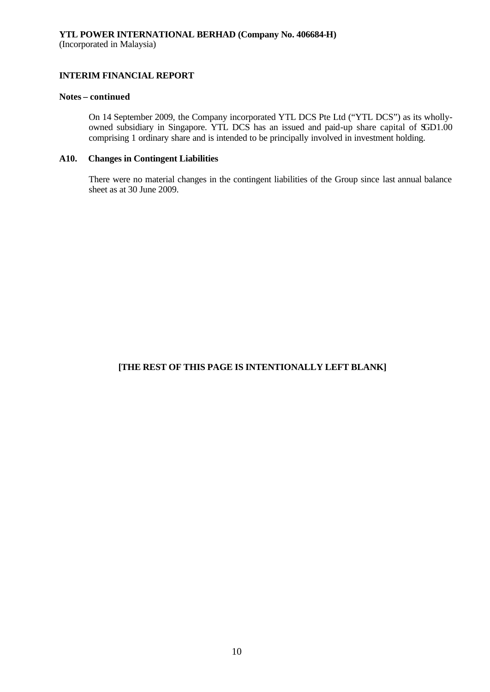## **Notes – continued**

On 14 September 2009, the Company incorporated YTL DCS Pte Ltd ("YTL DCS") as its whollyowned subsidiary in Singapore. YTL DCS has an issued and paid-up share capital of SGD1.00 comprising 1 ordinary share and is intended to be principally involved in investment holding.

## **A10. Changes in Contingent Liabilities**

There were no material changes in the contingent liabilities of the Group since last annual balance sheet as at 30 June 2009.

## **[THE REST OF THIS PAGE IS INTENTIONALLY LEFT BLANK]**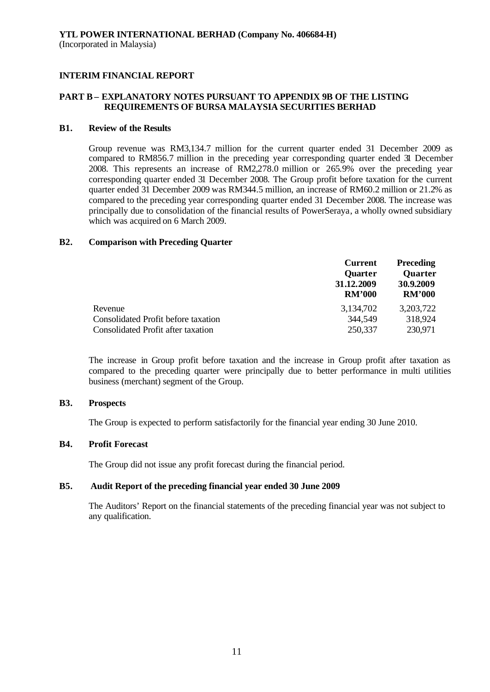## **PART B – EXPLANATORY NOTES PURSUANT TO APPENDIX 9B OF THE LISTING REQUIREMENTS OF BURSA MALAYSIA SECURITIES BERHAD**

#### **B1. Review of the Results**

Group revenue was RM3,134.7 million for the current quarter ended 31 December 2009 as compared to RM856.7 million in the preceding year corresponding quarter ended 31 December 2008. This represents an increase of RM2,278.0 million or 265.9% over the preceding year corresponding quarter ended 31 December 2008. The Group profit before taxation for the current quarter ended 31 December 2009 was RM344.5 million, an increase of RM60.2 million or 21.2% as compared to the preceding year corresponding quarter ended 31 December 2008. The increase was principally due to consolidation of the financial results of PowerSeraya, a wholly owned subsidiary which was acquired on 6 March 2009.

#### **B2. Comparison with Preceding Quarter**

| <b>Current</b><br><b>Quarter</b><br>31.12.2009<br><b>RM'000</b> | <b>Preceding</b><br><b>Quarter</b><br>30.9.2009<br><b>RM'000</b> |
|-----------------------------------------------------------------|------------------------------------------------------------------|
| 3,134,702                                                       | 3,203,722                                                        |
| 344,549                                                         | 318,924                                                          |
| 250,337                                                         | 230,971                                                          |
|                                                                 |                                                                  |

The increase in Group profit before taxation and the increase in Group profit after taxation as compared to the preceding quarter were principally due to better performance in multi utilities business (merchant) segment of the Group.

## **B3. Prospects**

The Group is expected to perform satisfactorily for the financial year ending 30 June 2010.

## **B4. Profit Forecast**

The Group did not issue any profit forecast during the financial period.

## **B5. Audit Report of the preceding financial year ended 30 June 2009**

The Auditors' Report on the financial statements of the preceding financial year was not subject to any qualification.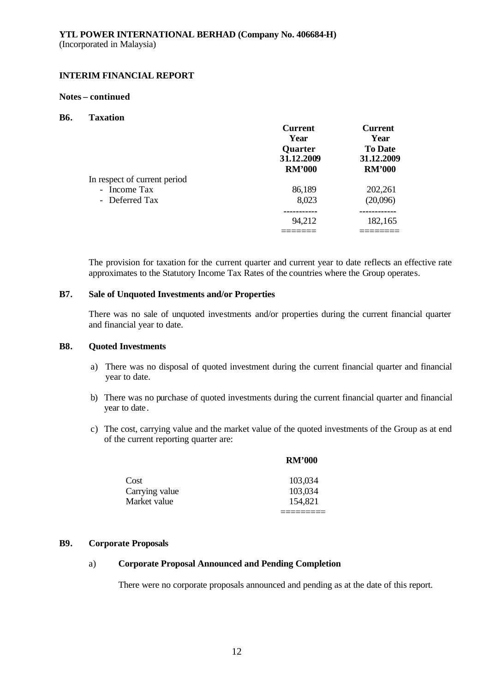#### **Notes – continued**

#### **B6. Taxation**

|                              | <b>Current</b> | <b>Current</b> |
|------------------------------|----------------|----------------|
|                              | Year           | Year           |
|                              | <b>Quarter</b> | <b>To Date</b> |
|                              | 31.12.2009     | 31.12.2009     |
|                              | <b>RM'000</b>  | <b>RM'000</b>  |
| In respect of current period |                |                |
| - Income Tax                 | 86,189         | 202,261        |
| - Deferred Tax               | 8,023          | (20,096)       |
|                              |                |                |
|                              | 94,212         | 182,165        |
|                              |                |                |

The provision for taxation for the current quarter and current year to date reflects an effective rate approximates to the Statutory Income Tax Rates of the countries where the Group operates.

## **B7. Sale of Unquoted Investments and/or Properties**

There was no sale of unquoted investments and/or properties during the current financial quarter and financial year to date.

## **B8. Quoted Investments**

- a) There was no disposal of quoted investment during the current financial quarter and financial year to date.
- b) There was no purchase of quoted investments during the current financial quarter and financial year to date.
- c) The cost, carrying value and the market value of the quoted investments of the Group as at end of the current reporting quarter are:

|                | <b>RM'000</b> |
|----------------|---------------|
| Cost           | 103,034       |
| Carrying value | 103,034       |
| Market value   | 154,821       |
|                |               |

## **B9. Corporate Proposals**

## a) **Corporate Proposal Announced and Pending Completion**

There were no corporate proposals announced and pending as at the date of this report.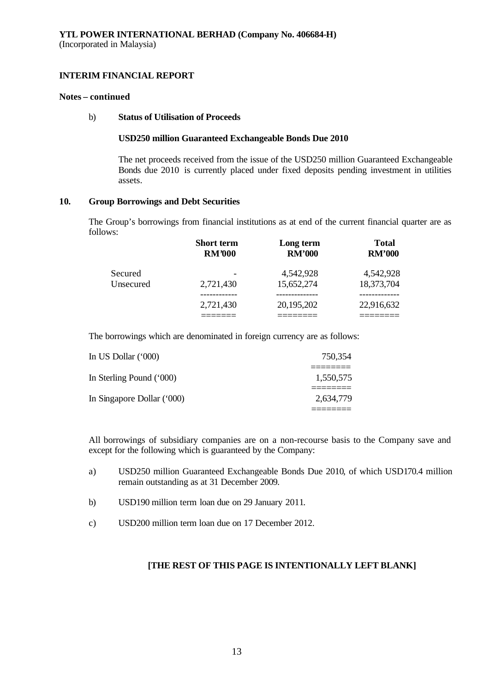#### **Notes – continued**

## b) **Status of Utilisation of Proceeds**

#### **USD250 million Guaranteed Exchangeable Bonds Due 2010**

The net proceeds received from the issue of the USD250 million Guaranteed Exchangeable Bonds due 2010 is currently placed under fixed deposits pending investment in utilities assets.

## **10. Group Borrowings and Debt Securities**

The Group's borrowings from financial institutions as at end of the current financial quarter are as follows:

|           | <b>Short term</b> | Long term     | <b>Total</b>  |
|-----------|-------------------|---------------|---------------|
|           | <b>RM'000</b>     | <b>RM'000</b> | <b>RM'000</b> |
| Secured   | 2,721,430         | 4,542,928     | 4,542,928     |
| Unsecured |                   | 15,652,274    | 18,373,704    |
|           | 2,721,430         | 20,195,202    | 22,916,632    |

The borrowings which are denominated in foreign currency are as follows:

| 750,354   |
|-----------|
| 1,550,575 |
| 2.634.779 |
|           |

All borrowings of subsidiary companies are on a non-recourse basis to the Company save and except for the following which is guaranteed by the Company:

- a) USD250 million Guaranteed Exchangeable Bonds Due 2010, of which USD170.4 million remain outstanding as at 31 December 2009.
- b) USD190 million term loan due on 29 January 2011.
- c) USD200 million term loan due on 17 December 2012.

## **[THE REST OF THIS PAGE IS INTENTIONALLY LEFT BLANK]**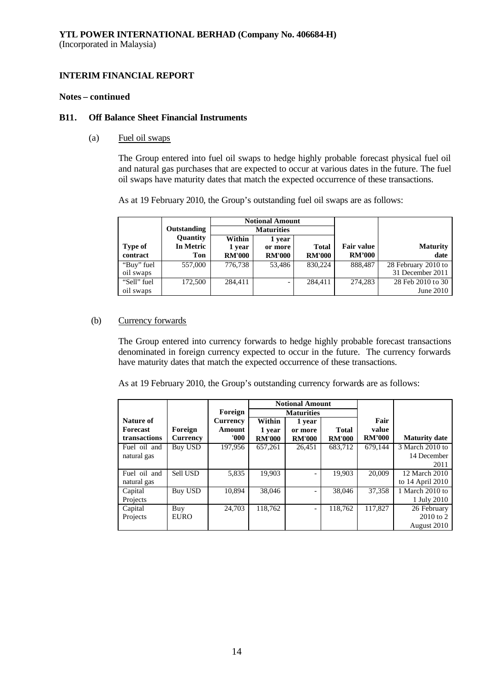#### **Notes – continued**

#### **B11. Off Balance Sheet Financial Instruments**

(a) Fuel oil swaps

The Group entered into fuel oil swaps to hedge highly probable forecast physical fuel oil and natural gas purchases that are expected to occur at various dates in the future. The fuel oil swaps have maturity dates that match the expected occurrence of these transactions.

As at 19 February 2010, the Group's outstanding fuel oil swaps are as follows:

|             |             | <b>Notional Amount</b> |               |               |                   |                     |
|-------------|-------------|------------------------|---------------|---------------|-------------------|---------------------|
|             | Outstanding | <b>Maturities</b>      |               |               |                   |                     |
|             | Quantity    | Within                 | 1 year        |               |                   |                     |
| Type of     | In Metric   | 1 year                 | or more       | <b>Total</b>  | <b>Fair value</b> | <b>Maturity</b>     |
| contract    | Ton         | <b>RM'000</b>          | <b>RM'000</b> | <b>RM'000</b> | <b>RM'000</b>     | date                |
| "Buy" fuel  | 557,000     | 776.738                | 53.486        | 830,224       | 888,487           | 28 February 2010 to |
| oil swaps   |             |                        |               |               |                   | 31 December 2011    |
| "Sell" fuel | 172,500     | 284.411                | -             | 284,411       | 274.283           | 28 Feb 2010 to 30   |
| oil swaps   |             |                        |               |               |                   | June 2010           |

#### (b) Currency forwards

The Group entered into currency forwards to hedge highly probable forecast transactions denominated in foreign currency expected to occur in the future. The currency forwards have maturity dates that match the expected occurrence of these transactions.

As at 19 February 2010, the Group's outstanding currency forwards are as follows:

|                 |                 |          | <b>Notional Amount</b> |                          |               |               |                      |
|-----------------|-----------------|----------|------------------------|--------------------------|---------------|---------------|----------------------|
|                 |                 | Foreign  | <b>Maturities</b>      |                          |               |               |                      |
| Nature of       |                 | Currency | Within                 | 1 year                   |               | Fair          |                      |
| <b>Forecast</b> | Foreign         | Amount   | 1 year                 | or more                  | <b>Total</b>  | value         |                      |
| transactions    | <b>Currency</b> | 000'     | <b>RM'000</b>          | <b>RM'000</b>            | <b>RM'000</b> | <b>RM'000</b> | <b>Maturity date</b> |
| Fuel oil and    | <b>Buy USD</b>  | 197.956  | 657.261                | 26,451                   | 683.712       | 679.144       | 3 March 2010 to      |
| natural gas     |                 |          |                        |                          |               |               | 14 December          |
|                 |                 |          |                        |                          |               |               | 2011                 |
| Fuel oil and    | Sell USD        | 5,835    | 19,903                 |                          | 19.903        | 20,009        | 12 March 2010        |
| natural gas     |                 |          |                        |                          |               |               | to 14 April 2010     |
| Capital         | <b>Buy USD</b>  | 10.894   | 38,046                 |                          | 38,046        | 37,358        | 1 March 2010 to      |
| Projects        |                 |          |                        |                          |               |               | 1 July 2010          |
| Capital         | Buy             | 24,703   | 118.762                | $\overline{\phantom{0}}$ | 118,762       | 117,827       | 26 February          |
| Projects        | <b>EURO</b>     |          |                        |                          |               |               | 2010 to 2            |
|                 |                 |          |                        |                          |               |               | August 2010          |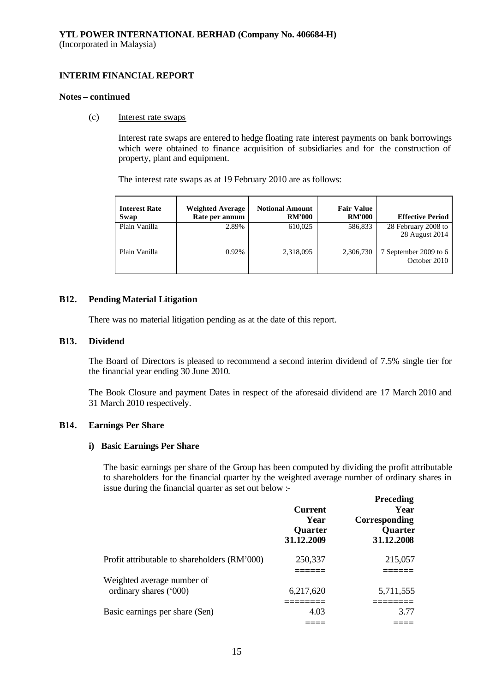#### **Notes – continued**

#### (c) Interest rate swaps

Interest rate swaps are entered to hedge floating rate interest payments on bank borrowings which were obtained to finance acquisition of subsidiaries and for the construction of property, plant and equipment.

The interest rate swaps as at 19 February 2010 are as follows:

| <b>Interest Rate</b><br>Swap | <b>Weighted Average</b><br>Rate per annum | <b>Notional Amount</b><br><b>RM'000</b> | <b>Fair Value</b><br><b>RM'000</b> | <b>Effective Period</b>               |
|------------------------------|-------------------------------------------|-----------------------------------------|------------------------------------|---------------------------------------|
| Plain Vanilla                | 2.89%                                     | 610,025                                 | 586,833                            | 28 February 2008 to<br>28 August 2014 |
| Plain Vanilla                | 0.92%                                     | 2,318,095                               | 2,306,730                          | 7 September 2009 to 6<br>October 2010 |

## **B12. Pending Material Litigation**

There was no material litigation pending as at the date of this report.

## **B13. Dividend**

The Board of Directors is pleased to recommend a second interim dividend of 7.5% single tier for the financial year ending 30 June 2010.

The Book Closure and payment Dates in respect of the aforesaid dividend are 17 March 2010 and 31 March 2010 respectively.

## **B14. Earnings Per Share**

## **i) Basic Earnings Per Share**

The basic earnings per share of the Group has been computed by dividing the profit attributable to shareholders for the financial quarter by the weighted average number of ordinary shares in issue during the financial quarter as set out below :-

**Preceding**

|                                              | <b>Current</b><br>Year<br><b>Quarter</b><br>31.12.2009 | <b>r</b> receding<br>Year<br>Corresponding<br>Quarter<br>31.12.2008 |
|----------------------------------------------|--------------------------------------------------------|---------------------------------------------------------------------|
| Profit attributable to shareholders (RM'000) | 250,337                                                | 215,057                                                             |
| Weighted average number of                   |                                                        |                                                                     |
| ordinary shares ('000)                       | 6,217,620                                              | 5,711,555                                                           |
| Basic earnings per share (Sen)               | 4.03                                                   | 3.77                                                                |
|                                              |                                                        |                                                                     |